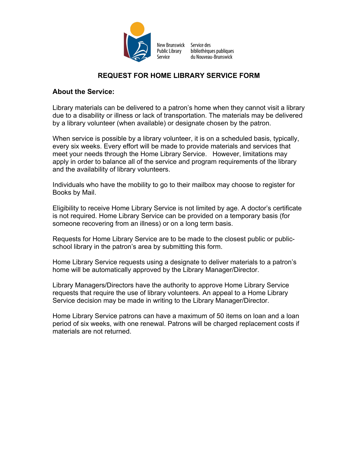

Service des bibliothèques publiques du Nouveau-Brunswick

# **REQUEST FOR HOME LIBRARY SERVICE FORM**

## **About the Service:**

Library materials can be delivered to a patron's home when they cannot visit a library due to a disability or illness or lack of transportation. The materials may be delivered by a library volunteer (when available) or designate chosen by the patron.

When service is possible by a library volunteer, it is on a scheduled basis, typically, every six weeks. Every effort will be made to provide materials and services that meet your needs through the Home Library Service. However, limitations may apply in order to balance all of the service and program requirements of the library and the availability of library volunteers.

Individuals who have the mobility to go to their mailbox may choose to register for Books by Mail.

Eligibility to receive Home Library Service is not limited by age. A doctor's certificate is not required. Home Library Service can be provided on a temporary basis (for someone recovering from an illness) or on a long term basis.

Requests for Home Library Service are to be made to the closest public or publicschool library in the patron's area by submitting this form.

Home Library Service requests using a designate to deliver materials to a patron's home will be automatically approved by the Library Manager/Director.

Library Managers/Directors have the authority to approve Home Library Service requests that require the use of library volunteers. An appeal to a Home Library Service decision may be made in writing to the Library Manager/Director.

Home Library Service patrons can have a maximum of 50 items on loan and a loan period of six weeks, with one renewal. Patrons will be charged replacement costs if materials are not returned.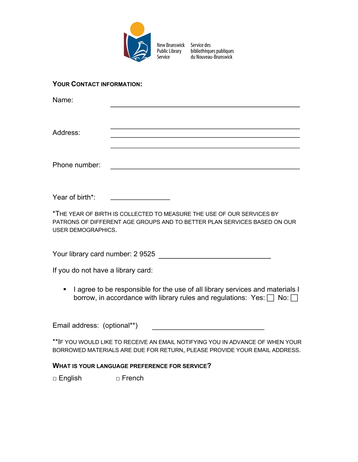

bibliothèques publiques du Nouveau-Brunswick

### **YOUR CONTACT INFORMATION:**

Name:

Address:

Phone number:

Year of birth\*:

\*THE YEAR OF BIRTH IS COLLECTED TO MEASURE THE USE OF OUR SERVICES BY PATRONS OF DIFFERENT AGE GROUPS AND TO BETTER PLAN SERVICES BASED ON OUR USER DEMOGRAPHICS.

Your library card number: 2 9525

If you do not have a library card:

■ I agree to be responsible for the use of all library services and materials I borrow, in accordance with library rules and regulations: Yes:  $\Box$  No:  $\Box$ 

Email address: (optional\*\*)

\*\*IF YOU WOULD LIKE TO RECEIVE AN EMAIL NOTIFYING YOU IN ADVANCE OF WHEN YOUR BORROWED MATERIALS ARE DUE FOR RETURN, PLEASE PROVIDE YOUR EMAIL ADDRESS.

#### **WHAT IS YOUR LANGUAGE PREFERENCE FOR SERVICE?**

□ English □ French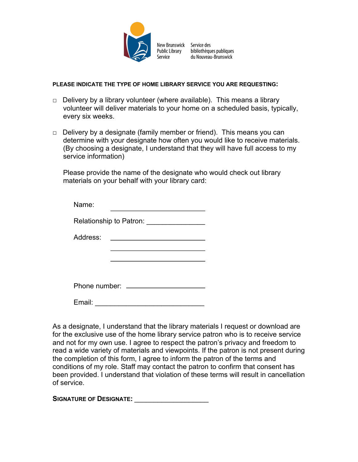

bibliothèques publiques du Nouveau-Brunswick

#### **PLEASE INDICATE THE TYPE OF HOME LIBRARY SERVICE YOU ARE REQUESTING:**

- $\Box$  Delivery by a library volunteer (where available). This means a library volunteer will deliver materials to your home on a scheduled basis, typically, every six weeks.
- $\Box$  Delivery by a designate (family member or friend). This means you can determine with your designate how often you would like to receive materials. (By choosing a designate, I understand that they will have full access to my service information)

Please provide the name of the designate who would check out library materials on your behalf with your library card:

| Name:                                 |  |
|---------------------------------------|--|
| Relationship to Patron: Nellationship |  |
| Address:                              |  |
|                                       |  |
|                                       |  |
| Phone number: ____                    |  |
| Email:                                |  |

As a designate, I understand that the library materials I request or download are for the exclusive use of the home library service patron who is to receive service and not for my own use. I agree to respect the patron's privacy and freedom to read a wide variety of materials and viewpoints. If the patron is not present during the completion of this form, I agree to inform the patron of the terms and conditions of my role. Staff may contact the patron to confirm that consent has been provided. I understand that violation of these terms will result in cancellation of service.

**SIGNATURE OF DESIGNATE:**